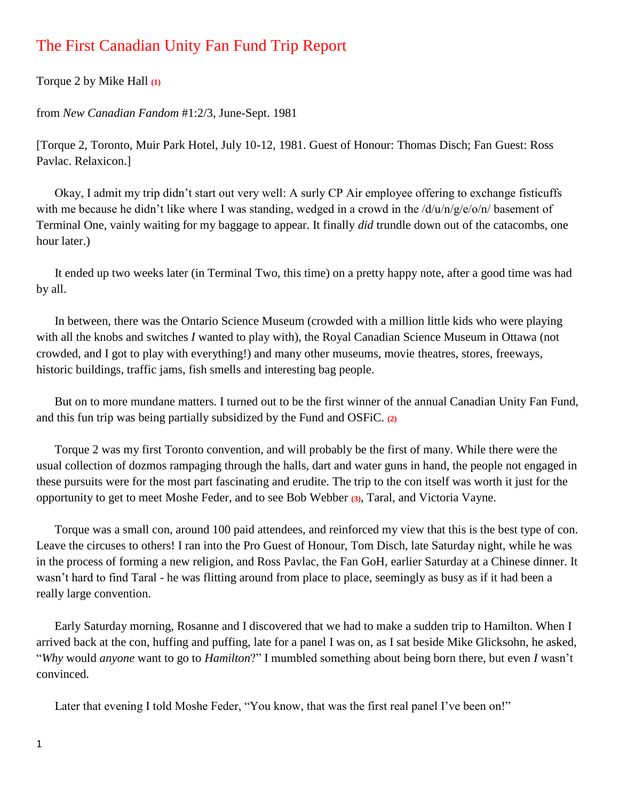## The First Canadian Unity Fan Fund Trip Report

Torque 2 by Mike Hall **(1)**

from *New Canadian Fandom* #1:2/3, June-Sept. 1981

[Torque 2, Toronto, Muir Park Hotel, July 10-12, 1981. Guest of Honour: Thomas Disch; Fan Guest: Ross Pavlac. Relaxicon.]

 Okay, I admit my trip didn't start out very well: A surly CP Air employee offering to exchange fisticuffs with me because he didn't like where I was standing, wedged in a crowd in the  $\frac{d}{u}$ n/g/e/o/n/ basement of Terminal One, vainly waiting for my baggage to appear. It finally *did* trundle down out of the catacombs, one hour later.)

 It ended up two weeks later (in Terminal Two, this time) on a pretty happy note, after a good time was had by all.

 In between, there was the Ontario Science Museum (crowded with a million little kids who were playing with all the knobs and switches *I* wanted to play with), the Royal Canadian Science Museum in Ottawa (not crowded, and I got to play with everything!) and many other museums, movie theatres, stores, freeways, historic buildings, traffic jams, fish smells and interesting bag people.

 But on to more mundane matters. I turned out to be the first winner of the annual Canadian Unity Fan Fund, and this fun trip was being partially subsidized by the Fund and OSFiC. **(2)**

 Torque 2 was my first Toronto convention, and will probably be the first of many. While there were the usual collection of dozmos rampaging through the halls, dart and water guns in hand, the people not engaged in these pursuits were for the most part fascinating and erudite. The trip to the con itself was worth it just for the opportunity to get to meet Moshe Feder, and to see Bob Webber **(3)**, Taral, and Victoria Vayne.

 Torque was a small con, around 100 paid attendees, and reinforced my view that this is the best type of con. Leave the circuses to others! I ran into the Pro Guest of Honour, Tom Disch, late Saturday night, while he was in the process of forming a new religion, and Ross Pavlac, the Fan GoH, earlier Saturday at a Chinese dinner. It wasn't hard to find Taral - he was flitting around from place to place, seemingly as busy as if it had been a really large convention.

 Early Saturday morning, Rosanne and I discovered that we had to make a sudden trip to Hamilton. When I arrived back at the con, huffing and puffing, late for a panel I was on, as I sat beside Mike Glicksohn, he asked, "*Why* would *anyone* want to go to *Hamilton*?" I mumbled something about being born there, but even *I* wasn't convinced.

Later that evening I told Moshe Feder, "You know, that was the first real panel I've been on!"